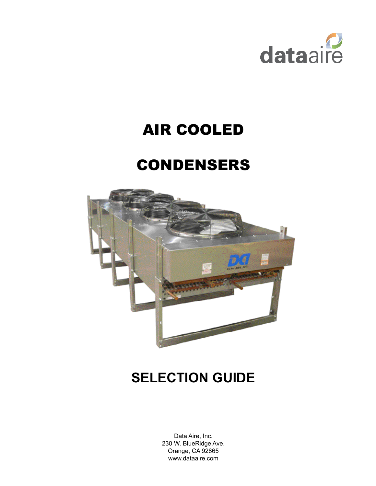

# AIR COOLED

# CONDENSERS



# **SELECTION GUIDE**

Data Aire, Inc. 230 W. BlueRidge Ave. Orange, CA 92865 www.dataaire.com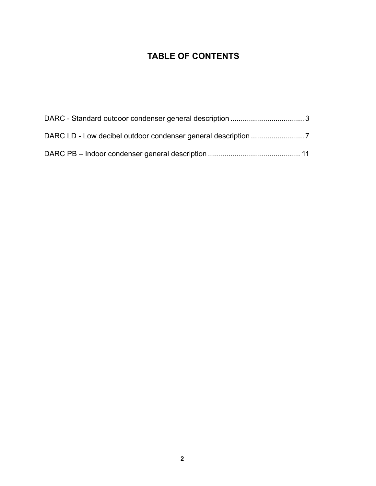### **TABLE OF CONTENTS**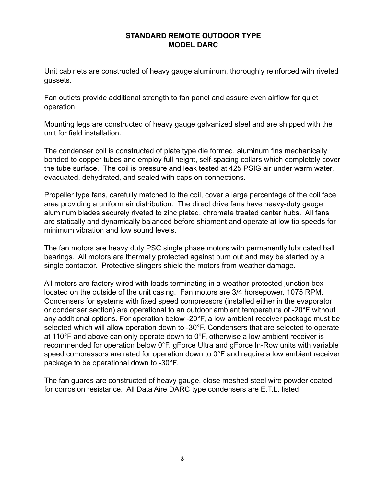#### **STANDARD REMOTE OUTDOOR TYPE MODEL DARC**

Unit cabinets are constructed of heavy gauge aluminum, thoroughly reinforced with riveted gussets.

Fan outlets provide additional strength to fan panel and assure even airflow for quiet operation.

Mounting legs are constructed of heavy gauge galvanized steel and are shipped with the unit for field installation.

The condenser coil is constructed of plate type die formed, aluminum fins mechanically bonded to copper tubes and employ full height, self-spacing collars which completely cover the tube surface. The coil is pressure and leak tested at 425 PSIG air under warm water, evacuated, dehydrated, and sealed with caps on connections.

Propeller type fans, carefully matched to the coil, cover a large percentage of the coil face area providing a uniform air distribution. The direct drive fans have heavy-duty gauge aluminum blades securely riveted to zinc plated, chromate treated center hubs. All fans are statically and dynamically balanced before shipment and operate at low tip speeds for minimum vibration and low sound levels.

The fan motors are heavy duty PSC single phase motors with permanently lubricated ball bearings. All motors are thermally protected against burn out and may be started by a single contactor. Protective slingers shield the motors from weather damage.

All motors are factory wired with leads terminating in a weather-protected junction box located on the outside of the unit casing. Fan motors are 3/4 horsepower, 1075 RPM. Condensers for systems with fixed speed compressors (installed either in the evaporator or condenser section) are operational to an outdoor ambient temperature of -20°F without any additional options. For operation below -20°F, a low ambient receiver package must be selected which will allow operation down to -30°F. Condensers that are selected to operate at 110°F and above can only operate down to 0°F, otherwise a low ambient receiver is recommended for operation below 0°F. gForce Ultra and gForce In-Row units with variable speed compressors are rated for operation down to 0°F and require a low ambient receiver package to be operational down to -30°F.

The fan guards are constructed of heavy gauge, close meshed steel wire powder coated for corrosion resistance. All Data Aire DARC type condensers are E.T.L. listed.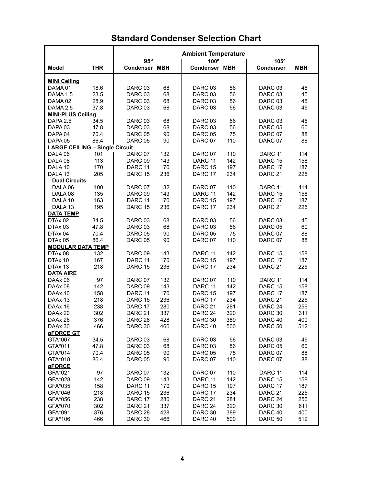# **Standard Condenser Selection Chart**

|                                       |            | <b>Ambient Temperature</b>         |     |                                     |     |                                 |            |  |
|---------------------------------------|------------|------------------------------------|-----|-------------------------------------|-----|---------------------------------|------------|--|
| <b>Model</b>                          | <b>THR</b> | $95^\circ$<br><b>Condenser MBH</b> |     | $100^\circ$<br><b>Condenser MBH</b> |     | $105^\circ$<br><b>Condenser</b> | <b>MBH</b> |  |
| <b>MINI Ceiling</b>                   |            |                                    |     |                                     |     |                                 |            |  |
| DAMA <sub>01</sub>                    | 18.6       | DARC 03                            | 68  | DARC 03                             | 56  | DARC <sub>03</sub>              | 45         |  |
| <b>DAMA 1.5</b>                       | 23.5       | DARC 03                            | 68  | DARC 03                             | 56  | DARC 03                         | 45         |  |
| DAMA <sub>02</sub>                    | 28.9       | DARC 03                            | 68  | DARC 03                             | 56  | DARC 03                         | 45         |  |
| <b>DAMA 2.5</b>                       | 37.8       | DARC 03                            | 68  | DARC <sub>03</sub>                  | 56  | DARC 03                         | 45         |  |
| <b>MINI-PLUS Ceiling</b>              |            |                                    |     |                                     |     |                                 |            |  |
| <b>DAPA 2.5</b>                       | 34.5       | DARC 03                            | 68  | DARC 03                             | 56  | DARC 03                         | 45         |  |
| DAPA <sub>03</sub>                    | 47.8       | DARC 03                            | 68  | DARC 03                             | 56  | DARC 05                         | 60         |  |
| DAPA <sub>04</sub>                    | 70.4       | DARC 05                            | 90  | DARC 05                             | 75  | DARC 07                         | 88         |  |
| DAPA <sub>05</sub>                    | 86.4       | DARC 05                            | 90  | DARC 07                             | 110 | DARC 07                         | 88         |  |
| <b>LARGE CEILING - Single Circuit</b> |            |                                    |     |                                     |     |                                 |            |  |
| DALA 06                               | 101        | DARC 07                            | 132 | DARC 07                             | 110 | DARC <sub>11</sub>              | 114        |  |
| DALA 08                               | 113        | DARC 09                            | 143 | DARC <sub>11</sub>                  | 142 | DARC 15                         | 158        |  |
| DALA 10                               | 170        | DARC 11                            | 170 | DARC 15                             | 197 | DARC 17                         | 187        |  |
| DALA <sub>13</sub>                    | 205        | DARC 15                            | 236 | DARC 17                             | 234 | DARC <sub>21</sub>              | 225        |  |
| <b>Dual Circuits</b>                  |            |                                    |     |                                     |     |                                 |            |  |
| DALA 06                               | 100        | DARC 07                            | 132 | DARC 07                             | 110 | DARC <sub>11</sub>              | 114        |  |
| DALA 08                               | 135        | DARC 09                            | 143 | DARC <sub>11</sub>                  | 142 | DARC 15                         | 158        |  |
| DALA 10                               | 163        | DARC <sub>11</sub>                 | 170 | DARC 15                             | 197 | DARC 17                         | 187        |  |
| DALA <sub>13</sub>                    | 195        | DARC 15                            | 236 | DARC 17                             | 234 | DARC <sub>21</sub>              | 225        |  |
| <b>DATA TEMP</b>                      |            |                                    |     |                                     |     |                                 |            |  |
| DTAx 02                               | 34.5       | DARC 03                            | 68  | DARC <sub>03</sub>                  | 56  | DARC 03                         | 45         |  |
| DTAx 03                               | 47.8       | DARC 03                            | 68  | DARC 03                             | 56  | DARC 05                         | 60         |  |
| DTAx 04                               | 70.4       | DARC 05                            | 90  | DARC 05                             | 75  | DARC 07                         | 88         |  |
| DTA <sub>x</sub> 05                   | 86.4       | DARC 05                            | 90  | DARC 07                             | 110 | DARC 07                         | 88         |  |
| <b>MODULAR DATA TEMP</b>              |            |                                    |     |                                     |     |                                 |            |  |
| DTAx 08                               | 132        | DARC 09                            | 143 | DARC 11                             | 142 | DARC 15                         | 158        |  |
| DTAx 10                               | 167        | DARC 11                            | 170 | DARC 15                             | 197 | DARC 17                         | 187        |  |
| DTAx 13                               | 218        | DARC 15                            | 236 | DARC 17                             | 234 | DARC <sub>21</sub>              | 225        |  |
| <b>DATA AIRE</b>                      |            |                                    |     |                                     |     |                                 |            |  |
| DAAx 06                               | 97         | DARC 07                            | 132 | DARC 07                             | 110 | DARC <sub>11</sub>              | 114        |  |
| DAAx 08                               | 142        | DARC 09                            | 143 | DARC 11                             | 142 | DARC 15                         | 158        |  |
| DAAx 10                               | 158        | DARC 11                            | 170 | DARC 15                             | 197 | DARC 17                         | 187        |  |
| DAAx 13                               | 218        | DARC 15                            | 236 | DARC 17                             | 234 | DARC <sub>21</sub>              | 225        |  |
| DAAx 16                               | 238        | DARC 17                            | 280 | DARC <sub>21</sub>                  | 281 | DARC <sub>24</sub>              | 256        |  |
| DAAx 20                               | 302        | DARC <sub>21</sub>                 | 337 | DARC 24                             | 320 | DARC 30                         | 311        |  |
| DAAx 26                               | 376        | DARC 28                            | 428 | DARC 30                             | 389 | DARC 40                         | 400        |  |
| DAAx 30                               | 466        | DARC 30                            | 466 | DARC <sub>40</sub>                  | 500 | DARC <sub>50</sub>              | 512        |  |
| gFORCE GT                             |            |                                    |     |                                     |     |                                 |            |  |
| GTA*007                               | 34.5       | DARC 03                            | 68  | DARC 03                             | 56  | DARC 03                         | 45         |  |
| GTA*011                               | 47.8       | DARC 03                            | 68  | DARC 03                             | 56  | DARC 05                         | 60         |  |
| GTA*014                               | 70.4       | DARC 05                            | 90  | DARC 05                             | 75  | DARC 07                         | 88         |  |
| GTA*018                               | 86.4       | DARC 05                            | 90  | DARC 07                             | 110 | DARC 07                         | 88         |  |
| <b>gFORCE</b>                         |            |                                    |     |                                     |     |                                 |            |  |
| GFA*021                               | 97         | DARC 07                            | 132 | DARC 07                             | 110 | DARC 11                         | 114        |  |
| GFA*028                               | 142        | DARC 09                            | 143 | DARC <sub>11</sub>                  | 142 | DARC 15                         | 158        |  |
| GFA*035                               | 158        | DARC 11                            | 170 | DARC 15                             | 197 | DARC 17                         | 187        |  |
| GFA*046                               | 218        | DARC <sub>15</sub>                 | 236 | DARC 17                             | 234 | DARC <sub>21</sub>              | 225        |  |
| GFA*056                               | 238        | DARC 17                            | 280 | DARC <sub>21</sub>                  | 281 | DARC <sub>24</sub>              | 256        |  |
| GFA*070                               | 302        | DARC <sub>21</sub>                 | 337 | DARC 24                             | 320 | DARC 30                         | 611        |  |
| GFA*091                               | 376        | DARC 28                            | 428 | DARC 30                             | 389 | DARC 40                         | 400        |  |
| GFA*106                               | 466        | DARC 30                            | 466 | DARC 40                             | 500 | DARC <sub>50</sub>              | 512        |  |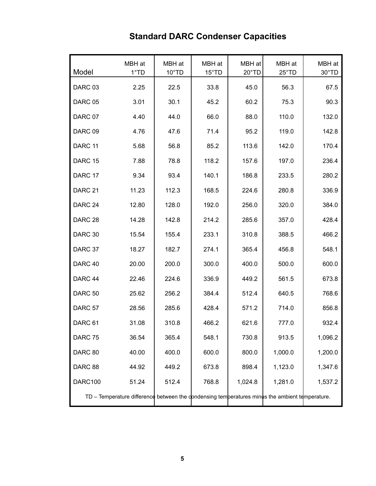# **Standard DARC Condenser Capacities**

| Model              | MBH at<br>1°TD                                                                                 | MBH at<br>10°TD | MBH at<br>15°TD | MBH at<br>20°TD | MBH at<br>$25^{\circ}$ TD | MBH at<br>30°TD |
|--------------------|------------------------------------------------------------------------------------------------|-----------------|-----------------|-----------------|---------------------------|-----------------|
| DARC 03            | 2.25                                                                                           | 22.5            | 33.8            | 45.0            | 56.3                      | 67.5            |
| DARC 05            | 3.01                                                                                           | 30.1            | 45.2            | 60.2            | 75.3                      | 90.3            |
| DARC 07            | 4.40                                                                                           | 44.0            | 66.0            | 88.0            | 110.0                     | 132.0           |
| DARC <sub>09</sub> | 4.76                                                                                           | 47.6            | 71.4            | 95.2            | 119.0                     | 142.8           |
| DARC <sub>11</sub> | 5.68                                                                                           | 56.8            | 85.2            | 113.6           | 142.0                     | 170.4           |
| DARC <sub>15</sub> | 7.88                                                                                           | 78.8            | 118.2           | 157.6           | 197.0                     | 236.4           |
| DARC <sub>17</sub> | 9.34                                                                                           | 93.4            | 140.1           | 186.8           | 233.5                     | 280.2           |
| DARC <sub>21</sub> | 11.23                                                                                          | 112.3           | 168.5           | 224.6           | 280.8                     | 336.9           |
| DARC <sub>24</sub> | 12.80                                                                                          | 128.0           | 192.0           | 256.0           | 320.0                     | 384.0           |
| DARC <sub>28</sub> | 14.28                                                                                          | 142.8           | 214.2           | 285.6           | 357.0                     | 428.4           |
| DARC <sub>30</sub> | 15.54                                                                                          | 155.4           | 233.1           | 310.8           | 388.5                     | 466.2           |
| DARC 37            | 18.27                                                                                          | 182.7           | 274.1           | 365.4           | 456.8                     | 548.1           |
| DARC <sub>40</sub> | 20.00                                                                                          | 200.0           | 300.0           | 400.0           | 500.0                     | 600.0           |
| DARC <sub>44</sub> | 22.46                                                                                          | 224.6           | 336.9           | 449.2           | 561.5                     | 673.8           |
| DARC <sub>50</sub> | 25.62                                                                                          | 256.2           | 384.4           | 512.4           | 640.5                     | 768.6           |
| DARC <sub>57</sub> | 28.56                                                                                          | 285.6           | 428.4           | 571.2           | 714.0                     | 856.8           |
| DARC <sub>61</sub> | 31.08                                                                                          | 310.8           | 466.2           | 621.6           | 777.0                     | 932.4           |
| DARC 75            | 36.54                                                                                          | 365.4           | 548.1           | 730.8           | 913.5                     | 1,096.2         |
| DARC 80            | 40.00                                                                                          | 400.0           | 600.0           | 800.0           | 1,000.0                   | 1,200.0         |
| DARC 88            | 44.92                                                                                          | 449.2           | 673.8           | 898.4           | 1,123.0                   | 1,347.6         |
| DARC100            | 51.24                                                                                          | 512.4           | 768.8           | 1,024.8         | 1,281.0                   | 1,537.2         |
|                    | TD – Temperature difference between the condensing temperatures minus the ambient temperature. |                 |                 |                 |                           |                 |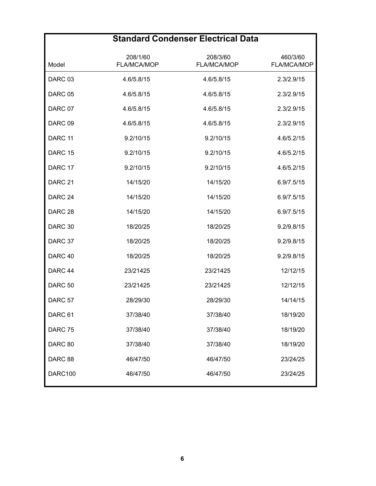## **Standard Condenser Electrical Data**

| Model              | 208/1/60<br>FLA/MCA/MOP | 208/3/60<br>FLA/MCA/MOP | 460/3/60<br>FLA/MCA/MOP |
|--------------------|-------------------------|-------------------------|-------------------------|
| DARC <sub>03</sub> | 4.6/5.8/15              | 4.6/5.8/15              | 2.3/2.9/15              |
| DARC 05            | 4.6/5.8/15              | 4.6/5.8/15              | 2.3/2.9/15              |
| DARC 07            | 4.6/5.8/15              | 4.6/5.8/15              | 2.3/2.9/15              |
| DARC <sub>09</sub> | 4.6/5.8/15              | 4.6/5.8/15              | 2.3/2.9/15              |
| DARC <sub>11</sub> | 9.2/10/15               | 9.2/10/15               | 4.6/5.2/15              |
| DARC <sub>15</sub> | 9.2/10/15               | 9.2/10/15               | 4.6/5.2/15              |
| DARC 17            | 9.2/10/15               | 9.2/10/15               | 4.6/5.2/15              |
| DARC <sub>21</sub> | 14/15/20                | 14/15/20                | 6.9/7.5/15              |
| DARC <sub>24</sub> | 14/15/20                | 14/15/20                | 6.9/7.5/15              |
| DARC <sub>28</sub> | 14/15/20                | 14/15/20                | 6.9/7.5/15              |
| DARC <sub>30</sub> | 18/20/25                | 18/20/25                | 9.2/9.8/15              |
| DARC 37            | 18/20/25                | 18/20/25                | 9.2/9.8/15              |
| DARC <sub>40</sub> | 18/20/25                | 18/20/25                | 9.2/9.8/15              |
| DARC <sub>44</sub> | 23/21425                | 23/21425                | 12/12/15                |
| DARC <sub>50</sub> | 23/21425                | 23/21425                | 12/12/15                |
| DARC <sub>57</sub> | 28/29/30                | 28/29/30                | 14/14/15                |
| DARC <sub>61</sub> | 37/38/40                | 37/38/40                | 18/19/20                |
| DARC <sub>75</sub> | 37/38/40                | 37/38/40                | 18/19/20                |
| DARC 80            | 37/38/40                | 37/38/40                | 18/19/20                |
| DARC 88            | 46/47/50                | 46/47/50                | 23/24/25                |
| DARC100            | 46/47/50                | 46/47/50                | 23/24/25                |
|                    |                         |                         |                         |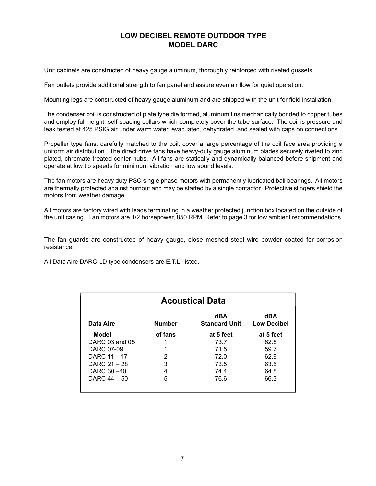#### **LOW DECIBEL REMOTE OUTDOOR TYPE MODEL DARC**

Unit cabinets are constructed of heavy gauge aluminum, thoroughly reinforced with riveted gussets.

Fan outlets provide additional strength to fan panel and assure even air flow for quiet operation.

Mounting legs are constructed of heavy gauge aluminum and are shipped with the unit for field installation.

The condenser coil is constructed of plate type die formed, aluminum fins mechanically bonded to copper tubes and employ full height, self-spacing collars which completely cover the tube surface. The coil is pressure and leak tested at 425 PSIG air under warm water, evacuated, dehydrated, and sealed with caps on connections.

Propeller type fans, carefully matched to the coil, cover a large percentage of the coil face area providing a uniform air distribution. The direct drive fans have heavy-duty gauge aluminum blades securely riveted to zinc plated, chromate treated center hubs. All fans are statically and dynamically balanced before shipment and operate at low tip speeds for minimum vibration and low sound levels.

The fan motors are heavy duty PSC single phase motors with permanently lubricated ball bearings. All motors are thermally protected against burnout and may be started by a single contactor. Protective slingers shield the motors from weather damage.

All motors are factory wired with leads terminating in a weather protected junction box located on the outside of the unit casing. Fan motors are 1/2 horsepower, 850 RPM. Refer to page 3 for low ambient recommendations.

The fan guards are constructed of heavy gauge, close meshed steel wire powder coated for corrosion resistance.

All Data Aire DARC-LD type condensers are E.T.L. listed.

| <b>Acoustical Data</b>                                                                 |         |           |           |  |  |  |  |  |
|----------------------------------------------------------------------------------------|---------|-----------|-----------|--|--|--|--|--|
| dBA<br>dBA<br><b>Standard Unit</b><br><b>Number</b><br><b>Low Decibel</b><br>Data Aire |         |           |           |  |  |  |  |  |
| Model                                                                                  | of fans | at 5 feet | at 5 feet |  |  |  |  |  |
| DARC 03 and 05                                                                         |         | 73.7      | 62.5      |  |  |  |  |  |
| DARC 07-09                                                                             | 1       | 71.5      | 59.7      |  |  |  |  |  |
| DARC 11 - 17                                                                           | 2       | 72.0      | 62.9      |  |  |  |  |  |
| DARC 21 - 28                                                                           | 3       | 73.5      | 63.5      |  |  |  |  |  |
| DARC 30 -40                                                                            |         | 74.4      | 64.8      |  |  |  |  |  |
| DARC 44 - 50                                                                           | 5       | 76.6      | 66.3      |  |  |  |  |  |
|                                                                                        |         |           |           |  |  |  |  |  |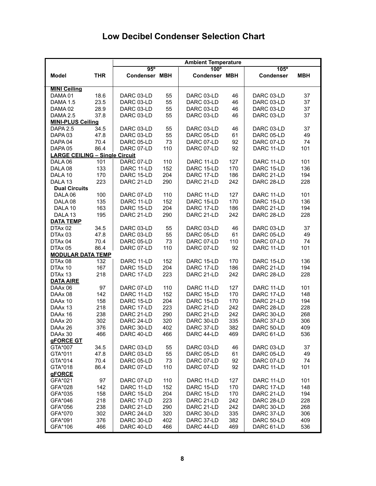## **Low Decibel Condenser Selection Chart**

|                                       |            | <b>Ambient Temperature</b> |             |                      |            |                  |            |
|---------------------------------------|------------|----------------------------|-------------|----------------------|------------|------------------|------------|
|                                       |            | $95^\circ$                 | $100^\circ$ |                      |            | $105^\circ$      |            |
| <b>Model</b>                          | <b>THR</b> | <b>Condenser MBH</b>       |             | <b>Condenser MBH</b> |            | <b>Condenser</b> | <b>MBH</b> |
| <b>MINI Ceiling</b>                   |            |                            |             |                      |            |                  |            |
| DAMA <sub>01</sub>                    | 18.6       | DARC 03-LD                 | 55          | DARC 03-LD           | 46         | DARC 03-LD       | 37         |
| <b>DAMA 1.5</b>                       | 23.5       | DARC 03-LD                 | 55          | DARC 03-LD           | 46         | DARC 03-LD       | 37         |
| DAMA 02                               | 28.9       | DARC 03-LD                 | 55          | DARC 03-LD           | 46         | DARC 03-LD       | 37         |
| <b>DAMA 2.5</b>                       | 37.8       | DARC 03-LD                 | 55          | DARC 03-LD           | 46         | DARC 03-LD       | 37         |
| <b>MINI-PLUS Ceiling</b>              |            |                            |             |                      |            |                  |            |
| <b>DAPA 2.5</b>                       | 34.5       | DARC 03-LD                 | 55          | DARC 03-LD           | 46         | DARC 03-LD       | 37         |
| DAPA <sub>03</sub>                    | 47.8       | DARC 03-LD                 | 55          | DARC 05-LD           | 61         | DARC 05-LD       | 49         |
| DAPA <sub>04</sub>                    | 70.4       | DARC 05-LD                 | 73          | DARC 07-LD           | 92         | DARC 07-LD       | 74         |
| DAPA <sub>05</sub>                    | 86.4       | DARC 07-LD                 | 110         | DARC 07-LD           | 92         | DARC 11-LD       | 101        |
| <b>LARGE CEILING - Single Circuit</b> |            |                            |             |                      |            |                  |            |
| DALA 06                               | 101        | DARC 07-LD                 | 110         | DARC 11-LD           | 127        | DARC 11-LD       | 101        |
| DALA 08                               | 133        | DARC 11-LD                 | 152         | DARC 15-LD           | 170        | DARC 15-LD       | 136        |
| DALA 10                               | 170        | DARC 15-LD                 | 204         | DARC 17-LD           | 186        | DARC 21-LD       | 194        |
| DALA <sub>13</sub>                    | 223        | DARC 21-LD                 | 290         | DARC 21-LD           | 242        | DARC 28-LD       | 228        |
| <b>Dual Circuits</b>                  |            |                            |             |                      |            |                  |            |
| DALA 06                               | 100        | DARC 07-LD                 | 110         | DARC 11-LD           | 127        | DARC 11-LD       | 101        |
| DALA 08                               | 135        | DARC 11-LD                 | 152         | DARC 15-LD           | 170        | DARC 15-LD       | 136        |
| DALA 10                               | 163        | DARC 15-LD                 | 204         | DARC 17-LD           | 186        | DARC 21-LD       | 194        |
| DALA <sub>13</sub>                    | 195        | DARC 21-LD                 | 290         | DARC 21-LD           | 242        | DARC 28-LD       | 228        |
| <b>DATA TEMP</b>                      |            |                            |             |                      |            |                  |            |
| DTAx 02                               | 34.5       | DARC 03-LD                 | 55          | DARC 03-LD           | 46         | DARC 03-LD       | 37         |
| DTAx 03                               | 47.8       | DARC 03-LD                 | 55          | DARC 05-LD           | 61         | DARC 05-LD       | 49         |
| DTAx 04                               | 70.4       | DARC 05-LD                 | 73          | DARC 07-LD           | 110        | DARC 07-LD       | 74         |
| DTAx 05                               | 86.4       | DARC 07-LD                 | 110         | DARC 07-LD           | 92         | DARC 11-LD       | 101        |
| <b>MODULAR DATA TEMP</b>              |            |                            |             |                      |            |                  |            |
| DTAx 08                               | 132        | DARC 11-LD                 | 152         | DARC 15-LD           | 170        | DARC 15-LD       | 136        |
| DTAx 10                               | 167        | DARC 15-LD                 | 204         | DARC 17-LD           | 186        | DARC 21-LD       | 194        |
| DTAx 13                               | 218        | DARC 17-LD                 | 223         | DARC 21-LD           | 242        | DARC 28-LD       | 228        |
| <b>DATA AIRE</b>                      |            |                            |             |                      |            |                  |            |
| DAAx 06                               | 97         | DARC 07-LD                 | 110         | DARC 11-LD           | 127        | DARC 11-LD       | 101        |
| DAAx 08                               | 142        | DARC 11-LD                 | 152         | DARC 15-LD           | 170        | DARC 17-LD       | 148        |
| DAAx 10                               | 158        | DARC 15-LD                 | 204         | DARC 15-LD           | 170        | DARC 21-LD       | 194        |
| DAAx 13                               | 218        | DARC 17-LD                 | 223         | DARC 21-LD           | 242        | DARC 28-LD       | 228        |
| DAAx 16                               | 238        | DARC 21-LD                 | 290         | DARC 21-LD           | 242        | DARC 30-LD       | 268        |
| DAAx 20                               | 302        | DARC 24-LD                 | 320         | DARC 30-LD           | 335        | DARC 37-LD       | 306        |
| DAAx 26                               | 376        | DARC 30-LD                 | 402         | DARC 37-LD           | 382        | DARC 50-LD       | 409        |
| DAAx 30                               | 466        | DARC 40-LD                 | 466         | DARC 44-LD           | 469        | DARC 61-LD       | 536        |
| gFORCE GT                             |            |                            |             |                      |            |                  |            |
| GTA*007                               | 34.5       | DARC 03-LD                 | 55          | DARC 03-LD           | 46         | DARC 03-LD       | 37         |
| GTA*011                               | 47.8       | DARC 03-LD                 | 55          | DARC 05-LD           | 61         | DARC 05-LD       | 49         |
| GTA*014                               | 70.4       | DARC 05-LD                 | 73          | DARC 07-LD           | 92         | DARC 07-LD       | 74         |
| GTA*018                               | 86.4       | DARC 07-LD                 | 110         | DARC 07-LD           | 92         | DARC 11-LD       | 101        |
| <b>gFORCE</b><br>GFA*021              |            | DARC 07-LD                 |             | DARC 11-LD           |            | DARC 11-LD       | 101        |
| GFA*028                               | 97<br>142  | DARC 11-LD                 | 110<br>152  | DARC 15-LD           | 127<br>170 | DARC 17-LD       | 148        |
| GFA*035                               | 158        | DARC 15-LD                 | 204         | DARC 15-LD           | 170        | DARC 21-LD       | 194        |
| GFA*046                               | 218        | DARC 17-LD                 | 223         | DARC 21-LD           | 242        | DARC 28-LD       | 228        |
| GFA*056                               | 238        | DARC 21-LD                 | 290         | DARC 21-LD           | 242        | DARC 30-LD       | 268        |
| GFA*070                               | 302        | DARC 24-LD                 | 320         | DARC 30-LD           | 335        | DARC 37-LD       | 306        |
| GFA*091                               | 376        | DARC 30-LD                 | 402         | DARC 37-LD           | 382        | DARC 50-LD       | 409        |
| GFA*106                               | 466        | DARC 40-LD                 | 466         | DARC 44-LD           | 469        | DARC 61-LD       | 536        |
|                                       |            |                            |             |                      |            |                  |            |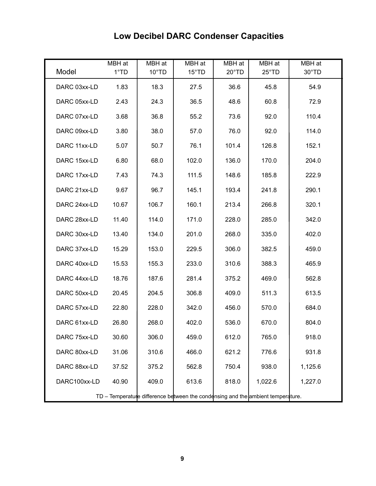# **Low Decibel DARC Condenser Capacities**

|              | MBH at | MBH at | MBH at          | MBH at | MBH at                                                                          | MBH at  |
|--------------|--------|--------|-----------------|--------|---------------------------------------------------------------------------------|---------|
| Model        | 1°TD   | 10°TD  | $15^{\circ}$ TD | 20°TD  | 25°TD                                                                           | 30°TD   |
| DARC 03xx-LD | 1.83   | 18.3   | 27.5            | 36.6   | 45.8                                                                            | 54.9    |
| DARC 05xx-LD | 2.43   | 24.3   | 36.5            | 48.6   | 60.8                                                                            | 72.9    |
| DARC 07xx-LD | 3.68   | 36.8   | 55.2            | 73.6   | 92.0                                                                            | 110.4   |
| DARC 09xx-LD | 3.80   | 38.0   | 57.0            | 76.0   | 92.0                                                                            | 114.0   |
| DARC 11xx-LD | 5.07   | 50.7   | 76.1            | 101.4  | 126.8                                                                           | 152.1   |
| DARC 15xx-LD | 6.80   | 68.0   | 102.0           | 136.0  | 170.0                                                                           | 204.0   |
| DARC 17xx-LD | 7.43   | 74.3   | 111.5           | 148.6  | 185.8                                                                           | 222.9   |
| DARC 21xx-LD | 9.67   | 96.7   | 145.1           | 193.4  | 241.8                                                                           | 290.1   |
| DARC 24xx-LD | 10.67  | 106.7  | 160.1           | 213.4  | 266.8                                                                           | 320.1   |
| DARC 28xx-LD | 11.40  | 114.0  | 171.0           | 228.0  | 285.0                                                                           | 342.0   |
| DARC 30xx-LD | 13.40  | 134.0  | 201.0           | 268.0  | 335.0                                                                           | 402.0   |
| DARC 37xx-LD | 15.29  | 153.0  | 229.5           | 306.0  | 382.5                                                                           | 459.0   |
| DARC 40xx-LD | 15.53  | 155.3  | 233.0           | 310.6  | 388.3                                                                           | 465.9   |
| DARC 44xx-LD | 18.76  | 187.6  | 281.4           | 375.2  | 469.0                                                                           | 562.8   |
| DARC 50xx-LD | 20.45  | 204.5  | 306.8           | 409.0  | 511.3                                                                           | 613.5   |
| DARC 57xx-LD | 22.80  | 228.0  | 342.0           | 456.0  | 570.0                                                                           | 684.0   |
| DARC 61xx-LD | 26.80  | 268.0  | 402.0           | 536.0  | 670.0                                                                           | 804.0   |
| DARC 75xx-LD | 30.60  | 306.0  | 459.0           | 612.0  | 765.0                                                                           | 918.0   |
| DARC 80xx-LD | 31.06  | 310.6  | 466.0           | 621.2  | 776.6                                                                           | 931.8   |
| DARC 88xx-LD | 37.52  | 375.2  | 562.8           | 750.4  | 938.0                                                                           | 1,125.6 |
| DARC100xx-LD | 40.90  | 409.0  | 613.6           | 818.0  | 1,022.6                                                                         | 1,227.0 |
|              |        |        |                 |        | TD – Temperature difference between the condensing and the ambient temperature. |         |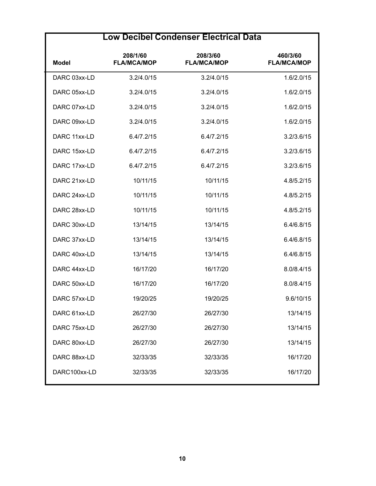### **Low Decibel Condenser Electrical Data**

| <b>Model</b> | 208/1/60<br><b>FLA/MCA/MOP</b> | 208/3/60<br><b>FLA/MCA/MOP</b> | 460/3/60<br><b>FLA/MCA/MOP</b> |
|--------------|--------------------------------|--------------------------------|--------------------------------|
| DARC 03xx-LD | 3.2/4.0/15                     | 3.2/4.0/15                     | 1.6/2.0/15                     |
| DARC 05xx-LD | 3.2/4.0/15                     | 3.2/4.0/15                     | 1.6/2.0/15                     |
| DARC 07xx-LD | 3.2/4.0/15                     | 3.2/4.0/15                     | 1.6/2.0/15                     |
| DARC 09xx-LD | 3.2/4.0/15                     | 3.2/4.0/15                     | 1.6/2.0/15                     |
| DARC 11xx-LD | 6.4/7.2/15                     | 6.4/7.2/15                     | 3.2/3.6/15                     |
| DARC 15xx-LD | 6.4/7.2/15                     | 6.4/7.2/15                     | 3.2/3.6/15                     |
| DARC 17xx-LD | 6.4/7.2/15                     | 6.4/7.2/15                     | 3.2/3.6/15                     |
| DARC 21xx-LD | 10/11/15                       | 10/11/15                       | 4.8/5.2/15                     |
| DARC 24xx-LD | 10/11/15                       | 10/11/15                       | 4.8/5.2/15                     |
| DARC 28xx-LD | 10/11/15                       | 10/11/15                       | 4.8/5.2/15                     |
| DARC 30xx-LD | 13/14/15                       | 13/14/15                       | 6.4/6.8/15                     |
| DARC 37xx-LD | 13/14/15                       | 13/14/15                       | 6.4/6.8/15                     |
| DARC 40xx-LD | 13/14/15                       | 13/14/15                       | 6.4/6.8/15                     |
| DARC 44xx-LD | 16/17/20                       | 16/17/20                       | 8.0/8.4/15                     |
| DARC 50xx-LD | 16/17/20                       | 16/17/20                       | 8.0/8.4/15                     |
| DARC 57xx-LD | 19/20/25                       | 19/20/25                       | 9.6/10/15                      |
| DARC 61xx-LD | 26/27/30                       | 26/27/30                       | 13/14/15                       |
| DARC 75xx-LD | 26/27/30                       | 26/27/30                       | 13/14/15                       |
| DARC 80xx-LD | 26/27/30                       | 26/27/30                       | 13/14/15                       |
| DARC 88xx-LD | 32/33/35                       | 32/33/35                       | 16/17/20                       |
| DARC100xx-LD | 32/33/35                       | 32/33/35                       | 16/17/20                       |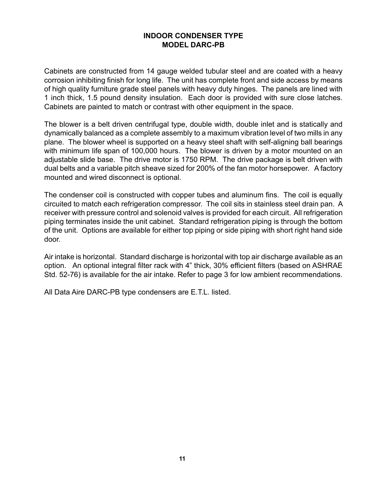#### **INDOOR CONDENSER TYPE MODEL DARC-PB**

Cabinets are constructed from 14 gauge welded tubular steel and are coated with a heavy corrosion inhibiting finish for long life. The unit has complete front and side access by means of high quality furniture grade steel panels with heavy duty hinges. The panels are lined with 1 inch thick, 1.5 pound density insulation. Each door is provided with sure close latches. Cabinets are painted to match or contrast with other equipment in the space.

The blower is a belt driven centrifugal type, double width, double inlet and is statically and dynamically balanced as a complete assembly to a maximum vibration level of two mills in any plane. The blower wheel is supported on a heavy steel shaft with self-aligning ball bearings with minimum life span of 100,000 hours. The blower is driven by a motor mounted on an adjustable slide base. The drive motor is 1750 RPM. The drive package is belt driven with dual belts and a variable pitch sheave sized for 200% of the fan motor horsepower. A factory mounted and wired disconnect is optional.

The condenser coil is constructed with copper tubes and aluminum fins. The coil is equally circuited to match each refrigeration compressor. The coil sits in stainless steel drain pan. A receiver with pressure control and solenoid valves is provided for each circuit. All refrigeration piping terminates inside the unit cabinet. Standard refrigeration piping is through the bottom of the unit. Options are available for either top piping or side piping with short right hand side door.

Air intake is horizontal. Standard discharge is horizontal with top air discharge available as an option. An optional integral filter rack with 4" thick, 30% efficient filters (based on ASHRAE Std. 52-76) is available for the air intake. Refer to page 3 for low ambient recommendations.

All Data Aire DARC-PB type condensers are E.T.L. listed.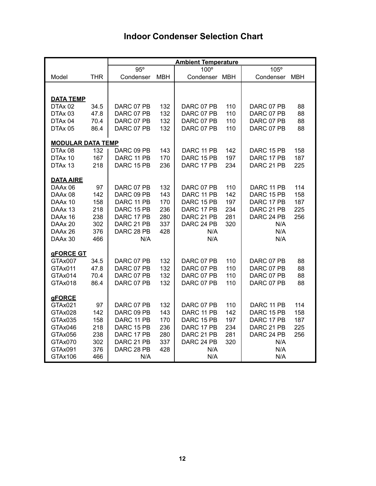# **Indoor Condenser Selection Chart**

|            | <b>Ambient Temperature</b>                                                                                                                  |                                                                                                                                                                                                                                                                                                                                       |                                                                                                                                          |                                                                                                                                                                                                                                                                                       |                                                                                                                            |                                                                                                                                                                                                                                                                 |
|------------|---------------------------------------------------------------------------------------------------------------------------------------------|---------------------------------------------------------------------------------------------------------------------------------------------------------------------------------------------------------------------------------------------------------------------------------------------------------------------------------------|------------------------------------------------------------------------------------------------------------------------------------------|---------------------------------------------------------------------------------------------------------------------------------------------------------------------------------------------------------------------------------------------------------------------------------------|----------------------------------------------------------------------------------------------------------------------------|-----------------------------------------------------------------------------------------------------------------------------------------------------------------------------------------------------------------------------------------------------------------|
|            | 95°                                                                                                                                         |                                                                                                                                                                                                                                                                                                                                       |                                                                                                                                          |                                                                                                                                                                                                                                                                                       | 105°                                                                                                                       |                                                                                                                                                                                                                                                                 |
| <b>THR</b> | Condenser                                                                                                                                   | MBH                                                                                                                                                                                                                                                                                                                                   | Condenser                                                                                                                                | MBH                                                                                                                                                                                                                                                                                   | Condenser                                                                                                                  | MBH                                                                                                                                                                                                                                                             |
|            |                                                                                                                                             |                                                                                                                                                                                                                                                                                                                                       |                                                                                                                                          |                                                                                                                                                                                                                                                                                       |                                                                                                                            |                                                                                                                                                                                                                                                                 |
|            |                                                                                                                                             |                                                                                                                                                                                                                                                                                                                                       |                                                                                                                                          |                                                                                                                                                                                                                                                                                       |                                                                                                                            |                                                                                                                                                                                                                                                                 |
|            |                                                                                                                                             |                                                                                                                                                                                                                                                                                                                                       |                                                                                                                                          |                                                                                                                                                                                                                                                                                       |                                                                                                                            | 88                                                                                                                                                                                                                                                              |
|            |                                                                                                                                             |                                                                                                                                                                                                                                                                                                                                       |                                                                                                                                          |                                                                                                                                                                                                                                                                                       |                                                                                                                            | 88                                                                                                                                                                                                                                                              |
|            |                                                                                                                                             |                                                                                                                                                                                                                                                                                                                                       |                                                                                                                                          |                                                                                                                                                                                                                                                                                       |                                                                                                                            | 88                                                                                                                                                                                                                                                              |
|            |                                                                                                                                             |                                                                                                                                                                                                                                                                                                                                       |                                                                                                                                          |                                                                                                                                                                                                                                                                                       |                                                                                                                            | 88                                                                                                                                                                                                                                                              |
|            |                                                                                                                                             |                                                                                                                                                                                                                                                                                                                                       |                                                                                                                                          |                                                                                                                                                                                                                                                                                       |                                                                                                                            |                                                                                                                                                                                                                                                                 |
|            |                                                                                                                                             |                                                                                                                                                                                                                                                                                                                                       |                                                                                                                                          |                                                                                                                                                                                                                                                                                       |                                                                                                                            |                                                                                                                                                                                                                                                                 |
| 132        | DARC 09 PB                                                                                                                                  | 143                                                                                                                                                                                                                                                                                                                                   | DARC 11 PB                                                                                                                               | 142                                                                                                                                                                                                                                                                                   | DARC 15 PB                                                                                                                 | 158                                                                                                                                                                                                                                                             |
| 167        | DARC 11 PB                                                                                                                                  | 170                                                                                                                                                                                                                                                                                                                                   | DARC 15 PB                                                                                                                               | 197                                                                                                                                                                                                                                                                                   | DARC 17 PB                                                                                                                 | 187                                                                                                                                                                                                                                                             |
| 218        |                                                                                                                                             | 236                                                                                                                                                                                                                                                                                                                                   |                                                                                                                                          | 234                                                                                                                                                                                                                                                                                   |                                                                                                                            | 225                                                                                                                                                                                                                                                             |
|            |                                                                                                                                             |                                                                                                                                                                                                                                                                                                                                       |                                                                                                                                          |                                                                                                                                                                                                                                                                                       |                                                                                                                            |                                                                                                                                                                                                                                                                 |
|            |                                                                                                                                             |                                                                                                                                                                                                                                                                                                                                       |                                                                                                                                          |                                                                                                                                                                                                                                                                                       |                                                                                                                            |                                                                                                                                                                                                                                                                 |
|            |                                                                                                                                             |                                                                                                                                                                                                                                                                                                                                       |                                                                                                                                          |                                                                                                                                                                                                                                                                                       |                                                                                                                            | 114<br>158                                                                                                                                                                                                                                                      |
|            |                                                                                                                                             |                                                                                                                                                                                                                                                                                                                                       |                                                                                                                                          |                                                                                                                                                                                                                                                                                       |                                                                                                                            | 187                                                                                                                                                                                                                                                             |
|            |                                                                                                                                             |                                                                                                                                                                                                                                                                                                                                       |                                                                                                                                          |                                                                                                                                                                                                                                                                                       |                                                                                                                            | 225                                                                                                                                                                                                                                                             |
|            |                                                                                                                                             |                                                                                                                                                                                                                                                                                                                                       |                                                                                                                                          |                                                                                                                                                                                                                                                                                       |                                                                                                                            | 256                                                                                                                                                                                                                                                             |
|            |                                                                                                                                             |                                                                                                                                                                                                                                                                                                                                       |                                                                                                                                          |                                                                                                                                                                                                                                                                                       |                                                                                                                            |                                                                                                                                                                                                                                                                 |
|            |                                                                                                                                             |                                                                                                                                                                                                                                                                                                                                       |                                                                                                                                          |                                                                                                                                                                                                                                                                                       |                                                                                                                            |                                                                                                                                                                                                                                                                 |
|            |                                                                                                                                             |                                                                                                                                                                                                                                                                                                                                       |                                                                                                                                          |                                                                                                                                                                                                                                                                                       |                                                                                                                            |                                                                                                                                                                                                                                                                 |
|            |                                                                                                                                             |                                                                                                                                                                                                                                                                                                                                       |                                                                                                                                          |                                                                                                                                                                                                                                                                                       |                                                                                                                            |                                                                                                                                                                                                                                                                 |
|            |                                                                                                                                             |                                                                                                                                                                                                                                                                                                                                       |                                                                                                                                          |                                                                                                                                                                                                                                                                                       |                                                                                                                            |                                                                                                                                                                                                                                                                 |
| 34.5       | DARC 07 PB                                                                                                                                  | 132                                                                                                                                                                                                                                                                                                                                   | DARC 07 PB                                                                                                                               | 110                                                                                                                                                                                                                                                                                   | DARC 07 PB                                                                                                                 | 88                                                                                                                                                                                                                                                              |
| 47.8       | DARC 07 PB                                                                                                                                  | 132                                                                                                                                                                                                                                                                                                                                   | DARC 07 PB                                                                                                                               | 110                                                                                                                                                                                                                                                                                   | DARC 07 PB                                                                                                                 | 88                                                                                                                                                                                                                                                              |
| 70.4       |                                                                                                                                             |                                                                                                                                                                                                                                                                                                                                       | DARC 07 PB                                                                                                                               |                                                                                                                                                                                                                                                                                       | DARC 07 PB                                                                                                                 | 88                                                                                                                                                                                                                                                              |
|            |                                                                                                                                             |                                                                                                                                                                                                                                                                                                                                       |                                                                                                                                          |                                                                                                                                                                                                                                                                                       |                                                                                                                            | 88                                                                                                                                                                                                                                                              |
|            |                                                                                                                                             |                                                                                                                                                                                                                                                                                                                                       |                                                                                                                                          |                                                                                                                                                                                                                                                                                       |                                                                                                                            |                                                                                                                                                                                                                                                                 |
|            |                                                                                                                                             |                                                                                                                                                                                                                                                                                                                                       |                                                                                                                                          |                                                                                                                                                                                                                                                                                       |                                                                                                                            | 114                                                                                                                                                                                                                                                             |
|            |                                                                                                                                             |                                                                                                                                                                                                                                                                                                                                       |                                                                                                                                          |                                                                                                                                                                                                                                                                                       |                                                                                                                            | 158                                                                                                                                                                                                                                                             |
|            |                                                                                                                                             |                                                                                                                                                                                                                                                                                                                                       |                                                                                                                                          |                                                                                                                                                                                                                                                                                       |                                                                                                                            | 187                                                                                                                                                                                                                                                             |
|            |                                                                                                                                             |                                                                                                                                                                                                                                                                                                                                       |                                                                                                                                          |                                                                                                                                                                                                                                                                                       |                                                                                                                            | 225                                                                                                                                                                                                                                                             |
|            |                                                                                                                                             |                                                                                                                                                                                                                                                                                                                                       |                                                                                                                                          |                                                                                                                                                                                                                                                                                       |                                                                                                                            | 256                                                                                                                                                                                                                                                             |
|            |                                                                                                                                             |                                                                                                                                                                                                                                                                                                                                       |                                                                                                                                          |                                                                                                                                                                                                                                                                                       |                                                                                                                            |                                                                                                                                                                                                                                                                 |
|            |                                                                                                                                             |                                                                                                                                                                                                                                                                                                                                       |                                                                                                                                          |                                                                                                                                                                                                                                                                                       |                                                                                                                            |                                                                                                                                                                                                                                                                 |
| 466        | N/A                                                                                                                                         |                                                                                                                                                                                                                                                                                                                                       | N/A                                                                                                                                      |                                                                                                                                                                                                                                                                                       | N/A                                                                                                                        |                                                                                                                                                                                                                                                                 |
|            | 34.5<br>47.8<br>70.4<br>86.4<br>97<br>142<br>158<br>218<br>238<br>302<br>376<br>466<br>86.4<br>97<br>142<br>158<br>218<br>238<br>302<br>376 | DARC 07 PB<br>DARC 07 PB<br>DARC 07 PB<br>DARC 07 PB<br><b>MODULAR DATA TEMP</b><br>DARC 15 PB<br>DARC 07 PB<br>DARC 09 PB<br>DARC 11 PB<br>DARC 15 PB<br>DARC 17 PB<br>DARC 21 PB<br>DARC 28 PB<br>N/A<br>DARC 07 PB<br>DARC 07 PB<br>DARC 07 PB<br>DARC 09 PB<br>DARC 11 PB<br>DARC 15 PB<br>DARC 17 PB<br>DARC 21 PB<br>DARC 28 PB | 132<br>132<br>132<br>132<br>132<br>143<br>170<br>236<br>280<br>337<br>428<br>132<br>132<br>132<br>143<br>170<br>236<br>280<br>337<br>428 | 100°<br>DARC 07 PB<br>DARC 07 PB<br>DARC 07 PB<br>DARC 07 PB<br>DARC 17 PB<br>DARC 07 PB<br>DARC 11 PB<br>DARC 15 PB<br>DARC 17 PB<br>DARC 21 PB<br>DARC 24 PB<br>N/A<br>N/A<br>DARC 07 PB<br>DARC 07 PB<br>DARC 11 PB<br>DARC 15 PB<br>DARC 17 PB<br>DARC 21 PB<br>DARC 24 PB<br>N/A | 110<br>110<br>110<br>110<br>110<br>142<br>197<br>234<br>281<br>320<br>110<br>110<br>110<br>142<br>197<br>234<br>281<br>320 | DARC 07 PB<br>DARC 07 PB<br>DARC 07 PB<br>DARC 07 PB<br>DARC 21 PB<br>DARC 11 PB<br>DARC 15 PB<br>DARC 17 PB<br>DARC 21 PB<br>DARC 24 PB<br>N/A<br>N/A<br>N/A<br>DARC 07 PB<br>DARC 11 PB<br>DARC 15 PB<br>DARC 17 PB<br>DARC 21 PB<br>DARC 24 PB<br>N/A<br>N/A |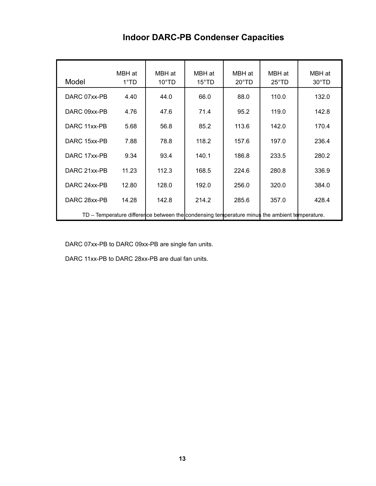# **Indoor DARC-PB Condenser Capacities**

| Model        | MBH at<br>1°TD | MBH at<br>$10^{\circ}$ TD                                                                     | MBH at<br>$15^{\circ}$ TD | MBH at<br>$20^{\circ}$ TD | MBH at<br>$25^{\circ}$ TD | MBH at<br>$30^{\circ}$ TD |
|--------------|----------------|-----------------------------------------------------------------------------------------------|---------------------------|---------------------------|---------------------------|---------------------------|
| DARC 07xx-PB | 4.40           | 44.0                                                                                          | 66.0                      | 88.0                      | 110.0                     | 132.0                     |
| DARC 09xx-PB | 4.76           | 47.6                                                                                          | 71.4                      | 95.2                      | 119.0                     | 142.8                     |
| DARC 11xx-PB | 5.68           | 56.8                                                                                          | 85.2                      | 113.6                     | 142.0                     | 170.4                     |
| DARC 15xx-PB | 7.88           | 78.8                                                                                          | 118.2                     | 157.6                     | 197.0                     | 236.4                     |
| DARC 17xx-PB | 9.34           | 93.4                                                                                          | 140.1                     | 186.8                     | 233.5                     | 280.2                     |
| DARC 21xx-PB | 11.23          | 112.3                                                                                         | 168.5                     | 224.6                     | 280.8                     | 336.9                     |
| DARC 24xx-PB | 12.80          | 128.0                                                                                         | 192.0                     | 256.0                     | 320.0                     | 384.0                     |
| DARC 28xx-PB | 14.28          | 142.8                                                                                         | 214.2                     | 285.6                     | 357.0                     | 428.4                     |
|              |                | TD - Temperature difference between the condensing temperature minus the ambient temperature. |                           |                           |                           |                           |

DARC 07xx-PB to DARC 09xx-PB are single fan units.

DARC 11xx-PB to DARC 28xx-PB are dual fan units.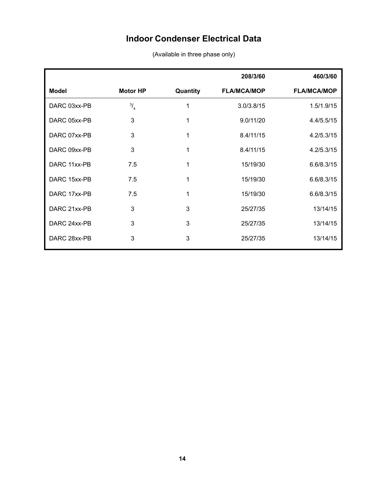# **Indoor Condenser Electrical Data**

|              |                 |          | 208/3/60           | 460/3/60           |
|--------------|-----------------|----------|--------------------|--------------------|
| <b>Model</b> | <b>Motor HP</b> | Quantity | <b>FLA/MCA/MOP</b> | <b>FLA/MCA/MOP</b> |
| DARC 03xx-PB | $^{3}/_{4}$     | 1        | 3.0/3.8/15         | 1.5/1.9/15         |
| DARC 05xx-PB | 3               |          | 9.0/11/20          | 4.4/5.5/15         |
| DARC 07xx-PB | 3               |          | 8.4/11/15          | 4.2/5.3/15         |
| DARC 09xx-PB | 3               | 1        | 8.4/11/15          | 4.2/5.3/15         |
| DARC 11xx-PB | 7.5             | 1        | 15/19/30           | 6.6/8.3/15         |
| DARC 15xx-PB | 7.5             | 1        | 15/19/30           | 6.6/8.3/15         |
| DARC 17xx-PB | 7.5             | 1        | 15/19/30           | 6.6/8.3/15         |
| DARC 21xx-PB | 3               | 3        | 25/27/35           | 13/14/15           |
| DARC 24xx-PB | 3               | 3        | 25/27/35           | 13/14/15           |
| DARC 28xx-PB | 3               | 3        | 25/27/35           | 13/14/15           |

(Available in three phase only)